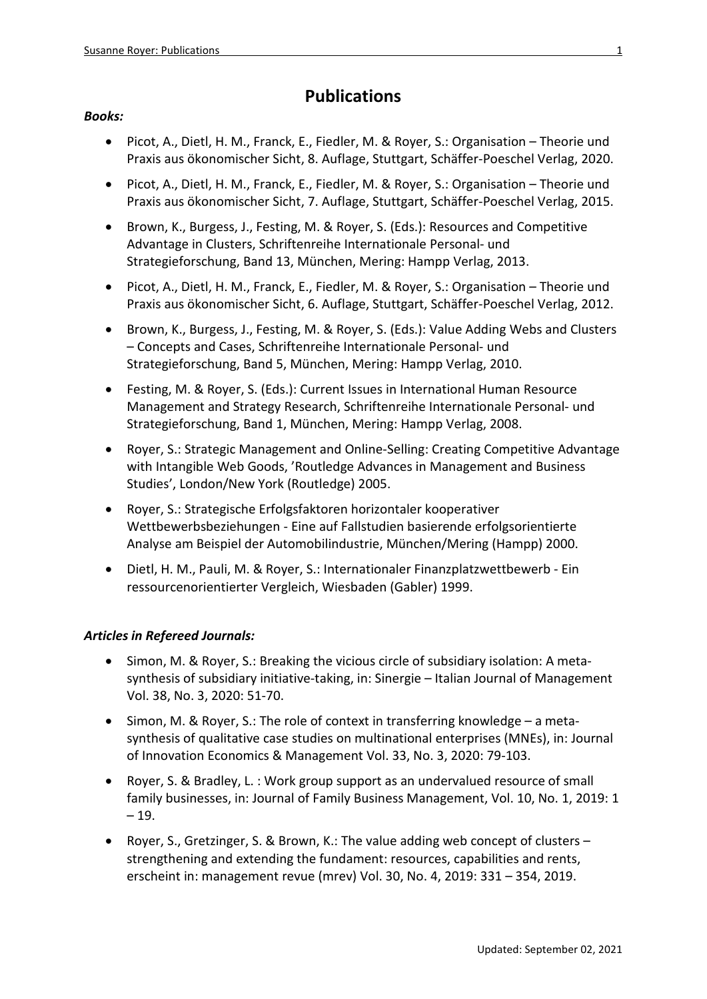# **Publications**

## *Books:*

- Picot, A., Dietl, H. M., Franck, E., Fiedler, M. & Royer, S.: Organisation Theorie und Praxis aus ökonomischer Sicht, 8. Auflage, Stuttgart, Schäffer-Poeschel Verlag, 2020.
- Picot, A., Dietl, H. M., Franck, E., Fiedler, M. & Royer, S.: Organisation Theorie und Praxis aus ökonomischer Sicht, 7. Auflage, Stuttgart, Schäffer-Poeschel Verlag, 2015.
- Brown, K., Burgess, J., Festing, M. & Royer, S. (Eds.): Resources and Competitive Advantage in Clusters, Schriftenreihe Internationale Personal- und Strategieforschung, Band 13, München, Mering: Hampp Verlag, 2013.
- Picot, A., Dietl, H. M., Franck, E., Fiedler, M. & Royer, S.: Organisation Theorie und Praxis aus ökonomischer Sicht, 6. Auflage, Stuttgart, Schäffer-Poeschel Verlag, 2012.
- Brown, K., Burgess, J., Festing, M. & Royer, S. (Eds.): Value Adding Webs and Clusters – Concepts and Cases, Schriftenreihe Internationale Personal- und Strategieforschung, Band 5, München, Mering: Hampp Verlag, 2010.
- Festing, M. & Royer, S. (Eds.): Current Issues in International Human Resource Management and Strategy Research, Schriftenreihe Internationale Personal- und Strategieforschung, Band 1, München, Mering: Hampp Verlag, 2008.
- Royer, S.: Strategic Management and Online-Selling: Creating Competitive Advantage with Intangible Web Goods, 'Routledge Advances in Management and Business Studies', London/New York (Routledge) 2005.
- Royer, S.: Strategische Erfolgsfaktoren horizontaler kooperativer Wettbewerbsbeziehungen - Eine auf Fallstudien basierende erfolgsorientierte Analyse am Beispiel der Automobilindustrie, München/Mering (Hampp) 2000.
- Dietl, H. M., Pauli, M. & Royer, S.: Internationaler Finanzplatzwettbewerb Ein ressourcenorientierter Vergleich, Wiesbaden (Gabler) 1999.

## *Articles in Refereed Journals:*

- Simon, M. & Royer, S.: Breaking the vicious circle of subsidiary isolation: A metasynthesis of subsidiary initiative-taking, in: Sinergie – Italian Journal of Management Vol. 38, No. 3, 2020: 51-70.
- Simon, M. & Royer, S.: The role of context in transferring knowledge a metasynthesis of qualitative case studies on multinational enterprises (MNEs), in: Journal of Innovation Economics & Management Vol. 33, No. 3, 2020: 79-103.
- [Royer, S.](https://www.emerald.com/insight/search?q=Susanne%20Royer) & [Bradley, L.](https://www.emerald.com/insight/search?q=Lisa%20Bradley) : Work group support as an undervalued resource of small family businesses, in: [Journal of Family Business Management,](https://www.emerald.com/insight/publication/issn/2043-6238) Vol. 10, No. 1, 2019: 1  $-19.$
- Royer, S., Gretzinger, S. & Brown, K.: The value adding web concept of clusters strengthening and extending the fundament: resources, capabilities and rents, erscheint in: management revue (mrev) Vol. 30, No. 4, 2019: 331 – 354, 2019.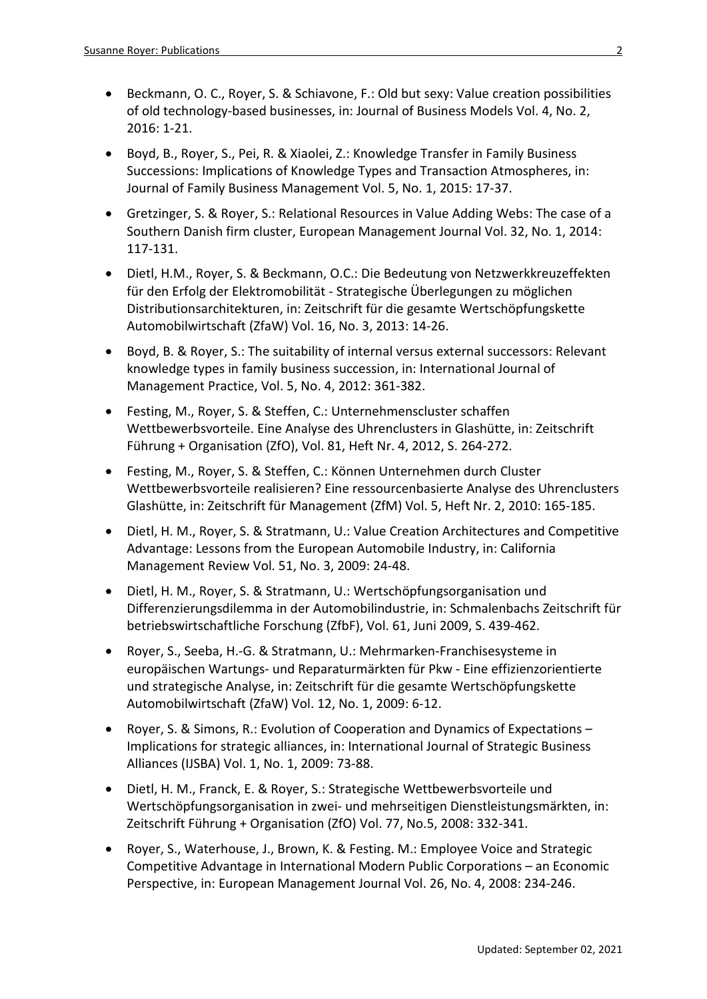- Beckmann, O. C., Royer, S. & Schiavone, F.: Old but sexy: Value creation possibilities of old technology-based businesses, in: Journal of Business Models Vol. 4, No. 2, 2016: 1-21.
- Boyd, B., Royer, S., Pei, R. & Xiaolei, Z.: Knowledge Transfer in Family Business Successions: Implications of Knowledge Types and Transaction Atmospheres, in: Journal of Family Business Management Vol. 5, No. 1, 2015: 17-37.
- Gretzinger, S. & Royer, S.: Relational Resources in Value Adding Webs: The case of a Southern Danish firm cluster, European Management Journal Vol. 32, No. 1, 2014: 117-131.
- Dietl, H.M., Royer, S. & Beckmann, O.C.: Die Bedeutung von Netzwerkkreuzeffekten für den Erfolg der Elektromobilität - Strategische Überlegungen zu möglichen Distributionsarchitekturen, in: Zeitschrift für die gesamte Wertschöpfungskette Automobilwirtschaft (ZfaW) Vol. 16, No. 3, 2013: 14-26.
- Boyd, B. & Royer, S.: The suitability of internal versus external successors: Relevant knowledge types in family business succession, in: International Journal of Management Practice, Vol. 5, No. 4, 2012: 361-382.
- Festing, M., Royer, S. & Steffen, C.: Unternehmenscluster schaffen Wettbewerbsvorteile. Eine Analyse des Uhrenclusters in Glashütte, in: Zeitschrift Führung + Organisation (ZfO), Vol. 81, Heft Nr. 4, 2012, S. 264-272.
- Festing, M., Royer, S. & Steffen, C.: Können Unternehmen durch Cluster Wettbewerbsvorteile realisieren? Eine ressourcenbasierte Analyse des Uhrenclusters Glashütte, in: Zeitschrift für Management (ZfM) Vol. 5, Heft Nr. 2, 2010: 165-185.
- Dietl, H. M., Royer, S. & Stratmann, U.: Value Creation Architectures and Competitive Advantage: Lessons from the European Automobile Industry, in: California Management Review Vol. 51, No. 3, 2009: 24-48.
- Dietl, H. M., Royer, S. & Stratmann, U.: Wertschöpfungsorganisation und Differenzierungsdilemma in der Automobilindustrie, in: Schmalenbachs Zeitschrift für betriebswirtschaftliche Forschung (ZfbF), Vol. 61, Juni 2009, S. 439-462.
- Royer, S., Seeba, H.-G. & Stratmann, U.: Mehrmarken-Franchisesysteme in europäischen Wartungs- und Reparaturmärkten für Pkw - Eine effizienzorientierte und strategische Analyse, in: Zeitschrift für die gesamte Wertschöpfungskette Automobilwirtschaft (ZfaW) Vol. 12, No. 1, 2009: 6-12.
- Royer, S. & Simons, R.: Evolution of Cooperation and Dynamics of Expectations Implications for strategic alliances, in: International Journal of Strategic Business Alliances (IJSBA) Vol. 1, No. 1, 2009: 73-88.
- Dietl, H. M., Franck, E. & Royer, S.: Strategische Wettbewerbsvorteile und Wertschöpfungsorganisation in zwei- und mehrseitigen Dienstleistungsmärkten, in: Zeitschrift Führung + Organisation (ZfO) Vol. 77, No.5, 2008: 332-341.
- Royer, S., Waterhouse, J., Brown, K. & Festing. M.: Employee Voice and Strategic Competitive Advantage in International Modern Public Corporations – an Economic Perspective, in: European Management Journal Vol. 26, No. 4, 2008: 234-246.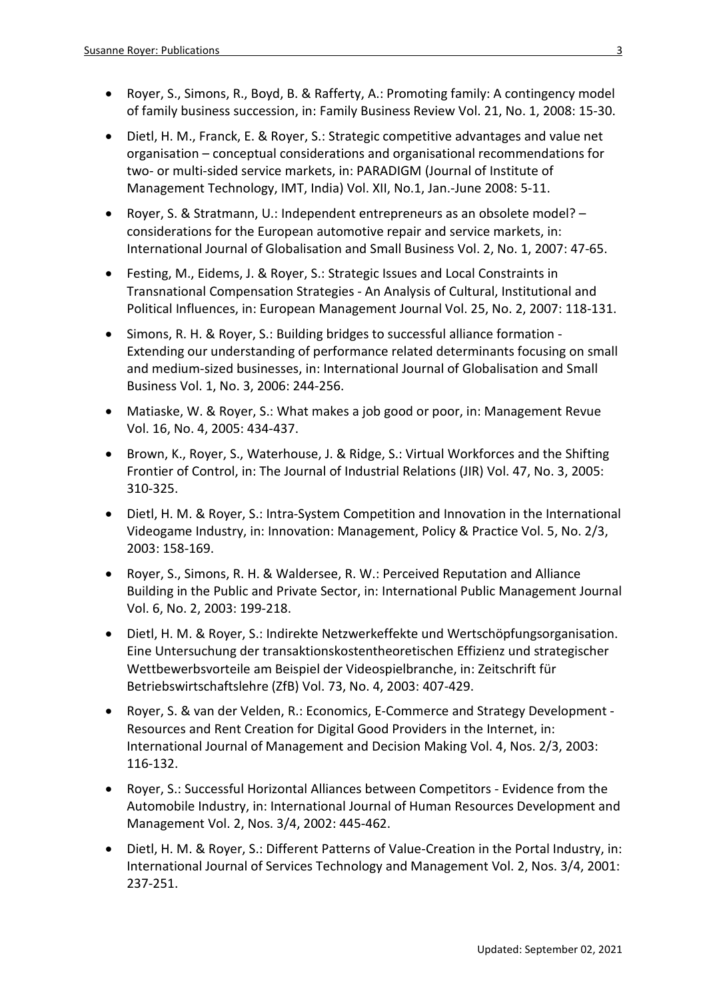- Royer, S., Simons, R., Boyd, B. & Rafferty, A.: Promoting family: A contingency model of family business succession, in: Family Business Review Vol. 21, No. 1, 2008: 15-30.
- Dietl, H. M., Franck, E. & Royer, S.: Strategic competitive advantages and value net organisation – conceptual considerations and organisational recommendations for two- or multi-sided service markets, in: PARADIGM (Journal of Institute of Management Technology, IMT, India) Vol. XII, No.1, Jan.-June 2008: 5-11.
- Royer, S. & Stratmann, U.: Independent entrepreneurs as an obsolete model? considerations for the European automotive repair and service markets, in: International Journal of Globalisation and Small Business Vol. 2, No. 1, 2007: 47-65.
- Festing, M., Eidems, J. & Royer, S.: Strategic Issues and Local Constraints in Transnational Compensation Strategies - An Analysis of Cultural, Institutional and Political Influences, in: European Management Journal Vol. 25, No. 2, 2007: 118-131.
- Simons, R. H. & Royer, S.: Building bridges to successful alliance formation Extending our understanding of performance related determinants focusing on small and medium-sized businesses, in: International Journal of Globalisation and Small Business Vol. 1, No. 3, 2006: 244-256.
- Matiaske, W. & Royer, S.: What makes a job good or poor, in: Management Revue Vol. 16, No. 4, 2005: 434-437.
- Brown, K., Royer, S., Waterhouse, J. & Ridge, S.: Virtual Workforces and the Shifting Frontier of Control, in: The Journal of Industrial Relations (JIR) Vol. 47, No. 3, 2005: 310-325.
- Dietl, H. M. & Royer, S.: Intra-System Competition and Innovation in the International Videogame Industry, in: Innovation: Management, Policy & Practice Vol. 5, No. 2/3, 2003: 158-169.
- Royer, S., Simons, R. H. & Waldersee, R. W.: Perceived Reputation and Alliance Building in the Public and Private Sector, in: International Public Management Journal Vol. 6, No. 2, 2003: 199-218.
- Dietl, H. M. & Royer, S.: Indirekte Netzwerkeffekte und Wertschöpfungsorganisation. Eine Untersuchung der transaktionskostentheoretischen Effizienz und strategischer Wettbewerbsvorteile am Beispiel der Videospielbranche, in: Zeitschrift für Betriebswirtschaftslehre (ZfB) Vol. 73, No. 4, 2003: 407-429.
- Royer, S. & van der Velden, R.: Economics, E-Commerce and Strategy Development Resources and Rent Creation for Digital Good Providers in the Internet, in: International Journal of Management and Decision Making Vol. 4, Nos. 2/3, 2003: 116-132.
- Royer, S.: Successful Horizontal Alliances between Competitors Evidence from the Automobile Industry, in: International Journal of Human Resources Development and Management Vol. 2, Nos. 3/4, 2002: 445-462.
- Dietl, H. M. & Royer, S.: Different Patterns of Value-Creation in the Portal Industry, in: International Journal of Services Technology and Management Vol. 2, Nos. 3/4, 2001: 237-251.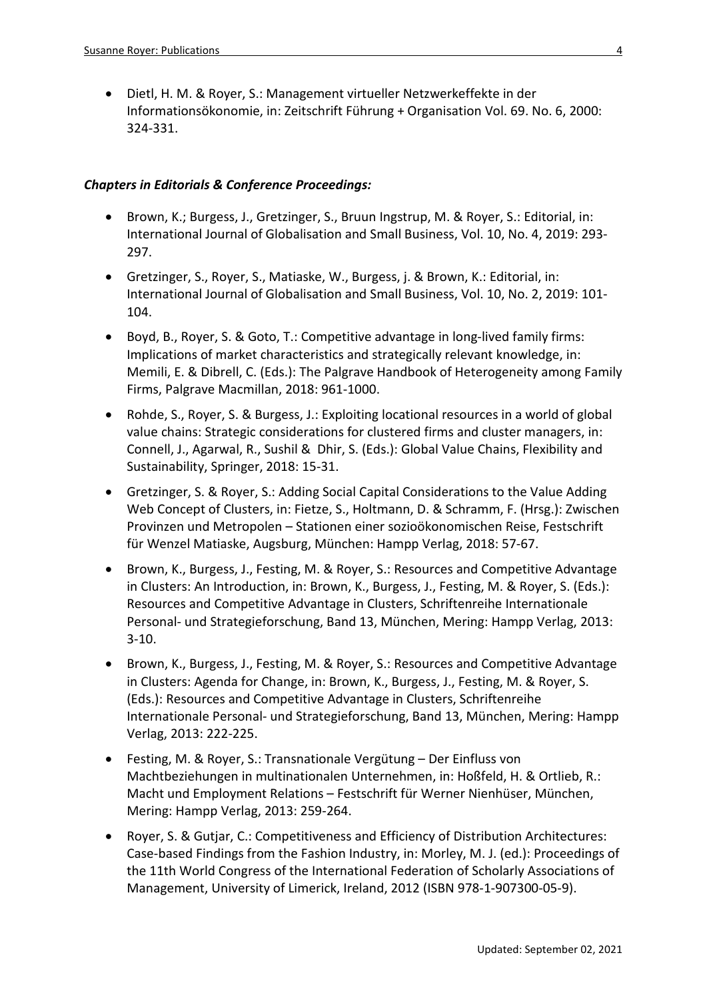• Dietl, H. M. & Royer, S.: Management virtueller Netzwerkeffekte in der Informationsökonomie, in: Zeitschrift Führung + Organisation Vol. 69. No. 6, 2000: 324-331.

#### *Chapters in Editorials & Conference Proceedings:*

- Brown, K.; Burgess, J., Gretzinger, S., Bruun Ingstrup, M. & Royer, S.: Editorial, in: International Journal of Globalisation and Small Business, Vol. 10, No. 4, 2019: 293- 297.
- Gretzinger, S., Royer, S., Matiaske, W., Burgess, j. & Brown, K.: Editorial, in: International Journal of Globalisation and Small Business, Vol. 10, No. 2, 2019: 101- 104.
- Boyd, B., Royer, S. & Goto, T.: Competitive advantage in long-lived family firms: Implications of market characteristics and strategically relevant knowledge, in: Memili, E. & Dibrell, C. (Eds.): The Palgrave Handbook of Heterogeneity among Family Firms, Palgrave Macmillan, 2018: 961-1000.
- Rohde, S., Royer, S. & Burgess, J.: Exploiting locational resources in a world of global value chains: Strategic considerations for clustered firms and cluster managers, in: Connell, J., Agarwal, R., Sushil & Dhir, S. (Eds.): Global Value Chains, Flexibility and Sustainability, Springer, 2018: 15-31.
- Gretzinger, S. & Royer, S.: Adding Social Capital Considerations to the Value Adding Web Concept of Clusters, in: Fietze, S., Holtmann, D. & Schramm, F. (Hrsg.): Zwischen Provinzen und Metropolen – Stationen einer sozioökonomischen Reise, Festschrift für Wenzel Matiaske, Augsburg, München: Hampp Verlag, 2018: 57-67.
- Brown, K., Burgess, J., Festing, M. & Royer, S.: Resources and Competitive Advantage in Clusters: An Introduction, in: Brown, K., Burgess, J., Festing, M. & Royer, S. (Eds.): Resources and Competitive Advantage in Clusters, Schriftenreihe Internationale Personal- und Strategieforschung, Band 13, München, Mering: Hampp Verlag, 2013: 3-10.
- Brown, K., Burgess, J., Festing, M. & Royer, S.: Resources and Competitive Advantage in Clusters: Agenda for Change, in: Brown, K., Burgess, J., Festing, M. & Royer, S. (Eds.): Resources and Competitive Advantage in Clusters, Schriftenreihe Internationale Personal- und Strategieforschung, Band 13, München, Mering: Hampp Verlag, 2013: 222-225.
- Festing, M. & Royer, S.: Transnationale Vergütung Der Einfluss von Machtbeziehungen in multinationalen Unternehmen, in: Hoßfeld, H. & Ortlieb, R.: Macht und Employment Relations – Festschrift für Werner Nienhüser, München, Mering: Hampp Verlag, 2013: 259-264.
- Royer, S. & Gutjar, C.: Competitiveness and Efficiency of Distribution Architectures: Case-based Findings from the Fashion Industry, in: Morley, M. J. (ed.): Proceedings of the 11th World Congress of the International Federation of Scholarly Associations of Management, University of Limerick, Ireland, 2012 (ISBN 978-1-907300-05-9).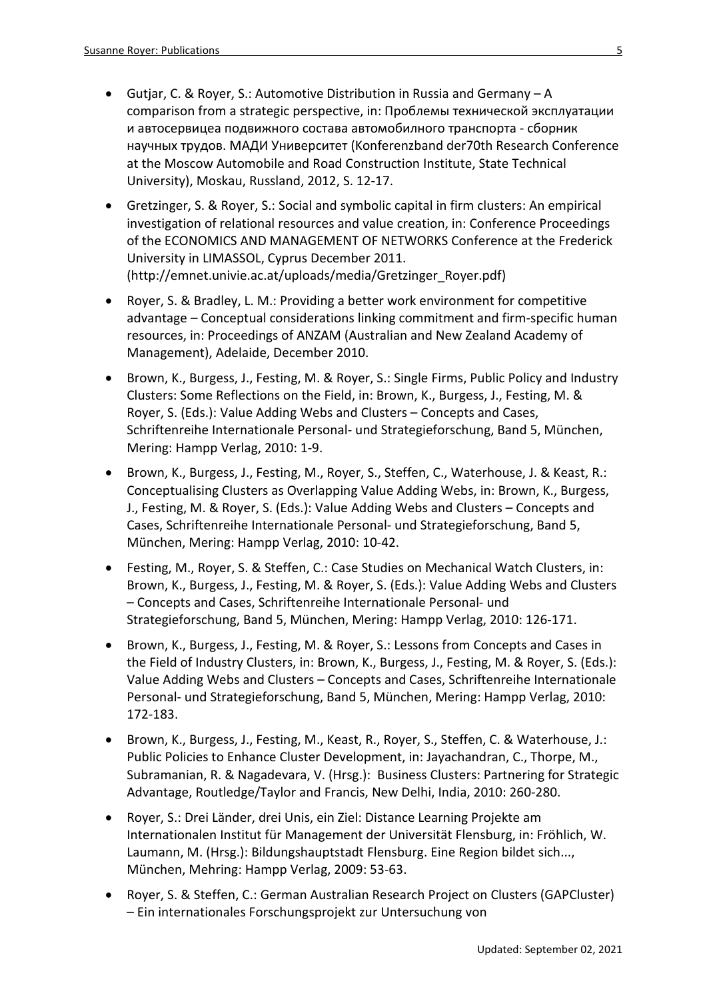- Gutjar, C. & Royer, S.: Automotive Distribution in Russia and Germany A comparison from a strategic perspective, in: Проблемы технической эксплуатации и автосервицеа подвижного состава автомобилного транспорта - сборник научных трудов. МАДИ Университет (Konferenzband der70th Research Conference at the Moscow Automobile and Road Construction Institute, State Technical University), Moskau, Russland, 2012, S. 12-17.
- Gretzinger, S. & Royer, S.: Social and symbolic capital in firm clusters: An empirical investigation of relational resources and value creation, in: Conference Proceedings of the ECONOMICS AND MANAGEMENT OF NETWORKS Conference at the Frederick University in LIMASSOL, Cyprus December 2011. (http://emnet.univie.ac.at/uploads/media/Gretzinger\_Royer.pdf)
- Royer, S. & Bradley, L. M.: Providing a better work environment for competitive advantage – Conceptual considerations linking commitment and firm-specific human resources, in: Proceedings of ANZAM (Australian and New Zealand Academy of Management), Adelaide, December 2010.
- Brown, K., Burgess, J., Festing, M. & Royer, S.: Single Firms, Public Policy and Industry Clusters: Some Reflections on the Field, in: Brown, K., Burgess, J., Festing, M. & Royer, S. (Eds.): Value Adding Webs and Clusters – Concepts and Cases, Schriftenreihe Internationale Personal- und Strategieforschung, Band 5, München, Mering: Hampp Verlag, 2010: 1-9.
- Brown, K., Burgess, J., Festing, M., Royer, S., Steffen, C., Waterhouse, J. & Keast, R.: Conceptualising Clusters as Overlapping Value Adding Webs, in: Brown, K., Burgess, J., Festing, M. & Royer, S. (Eds.): Value Adding Webs and Clusters – Concepts and Cases, Schriftenreihe Internationale Personal- und Strategieforschung, Band 5, München, Mering: Hampp Verlag, 2010: 10-42.
- Festing, M., Royer, S. & Steffen, C.: Case Studies on Mechanical Watch Clusters, in: Brown, K., Burgess, J., Festing, M. & Royer, S. (Eds.): Value Adding Webs and Clusters – Concepts and Cases, Schriftenreihe Internationale Personal- und Strategieforschung, Band 5, München, Mering: Hampp Verlag, 2010: 126-171.
- Brown, K., Burgess, J., Festing, M. & Royer, S.: Lessons from Concepts and Cases in the Field of Industry Clusters, in: Brown, K., Burgess, J., Festing, M. & Royer, S. (Eds.): Value Adding Webs and Clusters – Concepts and Cases, Schriftenreihe Internationale Personal- und Strategieforschung, Band 5, München, Mering: Hampp Verlag, 2010: 172-183.
- Brown, K., Burgess, J., Festing, M., Keast, R., Royer, S., Steffen, C. & Waterhouse, J.: Public Policies to Enhance Cluster Development, in: [Jayachandran,](http://www.routledge.com/books/search/author/c_jayachandran/) C., [Thorpe,](http://www.routledge.com/books/search/author/michael_thorpe/) M., [Subramanian,](http://www.routledge.com/books/search/author/ram_subramanian/) R. & [Nagadevara,](http://www.routledge.com/books/search/author/vishnuprasad_nagadevara/) V. (Hrsg.): Business Clusters: Partnering for Strategic Advantage, Routledge/Taylor and Francis, New Delhi, India, 2010: 260-280.
- Royer, S.: Drei Länder, drei Unis, ein Ziel: Distance Learning Projekte am Internationalen Institut für Management der Universität Flensburg, in: Fröhlich, W. Laumann, M. (Hrsg.): Bildungshauptstadt Flensburg. Eine Region bildet sich..., München, Mehring: Hampp Verlag, 2009: 53-63.
- Royer, S. & Steffen, C.: German Australian Research Project on Clusters (GAPCluster) – Ein internationales Forschungsprojekt zur Untersuchung von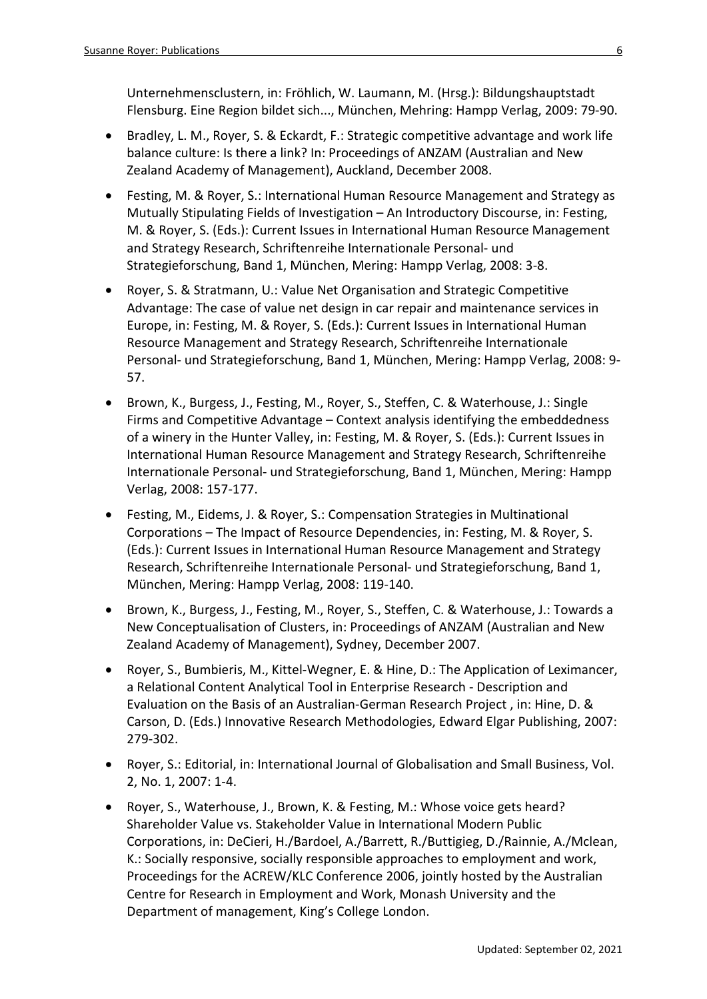Unternehmensclustern, in: Fröhlich, W. Laumann, M. (Hrsg.): Bildungshauptstadt Flensburg. Eine Region bildet sich..., München, Mehring: Hampp Verlag, 2009: 79-90.

- Bradley, L. M., Royer, S. & Eckardt, F.: Strategic competitive advantage and work life balance culture: Is there a link? In: Proceedings of ANZAM (Australian and New Zealand Academy of Management), Auckland, December 2008.
- Festing, M. & Royer, S.: International Human Resource Management and Strategy as Mutually Stipulating Fields of Investigation – An Introductory Discourse, in: Festing, M. & Royer, S. (Eds.): Current Issues in International Human Resource Management and Strategy Research, Schriftenreihe Internationale Personal- und Strategieforschung, Band 1, München, Mering: Hampp Verlag, 2008: 3-8.
- Royer, S. & Stratmann, U.: Value Net Organisation and Strategic Competitive Advantage: The case of value net design in car repair and maintenance services in Europe, in: Festing, M. & Royer, S. (Eds.): Current Issues in International Human Resource Management and Strategy Research, Schriftenreihe Internationale Personal- und Strategieforschung, Band 1, München, Mering: Hampp Verlag, 2008: 9- 57.
- Brown, K., Burgess, J., Festing, M., Royer, S., Steffen, C. & Waterhouse, J.: Single Firms and Competitive Advantage – Context analysis identifying the embeddedness of a winery in the Hunter Valley, in: Festing, M. & Royer, S. (Eds.): Current Issues in International Human Resource Management and Strategy Research, Schriftenreihe Internationale Personal- und Strategieforschung, Band 1, München, Mering: Hampp Verlag, 2008: 157-177.
- Festing, M., Eidems, J. & Royer, S.: Compensation Strategies in Multinational Corporations – The Impact of Resource Dependencies, in: Festing, M. & Royer, S. (Eds.): Current Issues in International Human Resource Management and Strategy Research, Schriftenreihe Internationale Personal- und Strategieforschung, Band 1, München, Mering: Hampp Verlag, 2008: 119-140.
- Brown, K., Burgess, J., Festing, M., Royer, S., Steffen, C. & Waterhouse, J.: Towards a New Conceptualisation of Clusters, in: Proceedings of ANZAM (Australian and New Zealand Academy of Management), Sydney, December 2007.
- Royer, S., Bumbieris, M., Kittel-Wegner, E. & Hine, D.: The Application of Leximancer, a Relational Content Analytical Tool in Enterprise Research - Description and Evaluation on the Basis of an Australian-German Research Project , in: Hine, D. & Carson, D. (Eds.) Innovative Research Methodologies, Edward Elgar Publishing, 2007: 279-302.
- Royer, S.: Editorial, in: International Journal of Globalisation and Small Business, Vol. 2, No. 1, 2007: 1-4.
- Royer, S., Waterhouse, J., Brown, K. & Festing, M.: Whose voice gets heard? Shareholder Value vs. Stakeholder Value in International Modern Public Corporations, in: DeCieri, H./Bardoel, A./Barrett, R./Buttigieg, D./Rainnie, A./Mclean, K.: Socially responsive, socially responsible approaches to employment and work, Proceedings for the ACREW/KLC Conference 2006, jointly hosted by the Australian Centre for Research in Employment and Work, Monash University and the Department of management, King's College London.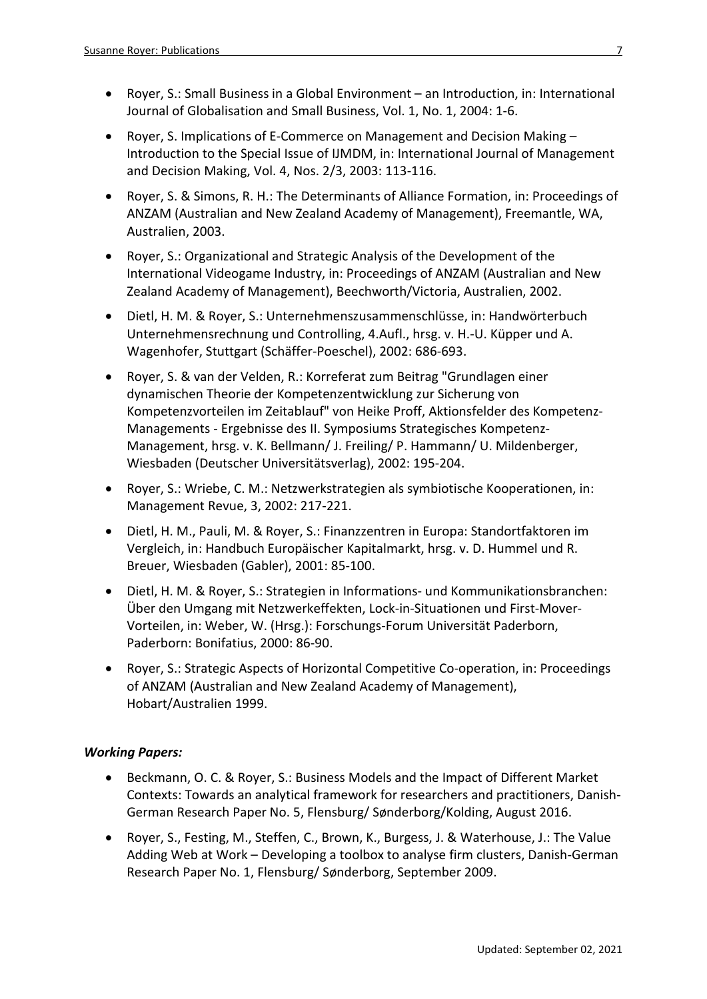- Royer, S.: Small Business in a Global Environment an Introduction, in: International Journal of Globalisation and Small Business, Vol. 1, No. 1, 2004: 1-6.
- Royer, S. Implications of E-Commerce on Management and Decision Making Introduction to the Special Issue of IJMDM, in: International Journal of Management and Decision Making, Vol. 4, Nos. 2/3, 2003: 113-116.
- Royer, S. & Simons, R. H.: The Determinants of Alliance Formation, in: Proceedings of ANZAM (Australian and New Zealand Academy of Management), Freemantle, WA, Australien, 2003.
- Royer, S.: Organizational and Strategic Analysis of the Development of the International Videogame Industry, in: Proceedings of ANZAM (Australian and New Zealand Academy of Management), Beechworth/Victoria, Australien, 2002.
- Dietl, H. M. & Royer, S.: Unternehmenszusammenschlüsse, in: Handwörterbuch Unternehmensrechnung und Controlling, 4.Aufl., hrsg. v. H.-U. Küpper und A. Wagenhofer, Stuttgart (Schäffer-Poeschel), 2002: 686-693.
- Royer, S. & van der Velden, R.: Korreferat zum Beitrag "Grundlagen einer dynamischen Theorie der Kompetenzentwicklung zur Sicherung von Kompetenzvorteilen im Zeitablauf" von Heike Proff, Aktionsfelder des Kompetenz-Managements - Ergebnisse des II. Symposiums Strategisches Kompetenz-Management, hrsg. v. K. Bellmann/ J. Freiling/ P. Hammann/ U. Mildenberger, Wiesbaden (Deutscher Universitätsverlag), 2002: 195-204.
- Royer, S.: Wriebe, C. M.: Netzwerkstrategien als symbiotische Kooperationen, in: Management Revue, 3, 2002: 217-221.
- Dietl, H. M., Pauli, M. & Royer, S.: Finanzzentren in Europa: Standortfaktoren im Vergleich, in: Handbuch Europäischer Kapitalmarkt, hrsg. v. D. Hummel und R. Breuer, Wiesbaden (Gabler), 2001: 85-100.
- Dietl, H. M. & Royer, S.: Strategien in Informations- und Kommunikationsbranchen: Über den Umgang mit Netzwerkeffekten, Lock-in-Situationen und First-Mover-Vorteilen, in: Weber, W. (Hrsg.): Forschungs-Forum Universität Paderborn, Paderborn: Bonifatius, 2000: 86-90.
- Royer, S.: Strategic Aspects of Horizontal Competitive Co-operation, in: Proceedings of ANZAM (Australian and New Zealand Academy of Management), Hobart/Australien 1999.

## *Working Papers:*

- Beckmann, O. C. & Royer, S.: Business Models and the Impact of Different Market Contexts: Towards an analytical framework for researchers and practitioners, Danish-German Research Paper No. 5, Flensburg/ Sønderborg/Kolding, August 2016.
- Royer, S., Festing, M., Steffen, C., Brown, K., Burgess, J. & Waterhouse, J.: The Value Adding Web at Work – Developing a toolbox to analyse firm clusters, Danish-German Research Paper No. 1, Flensburg/ Sønderborg, September 2009.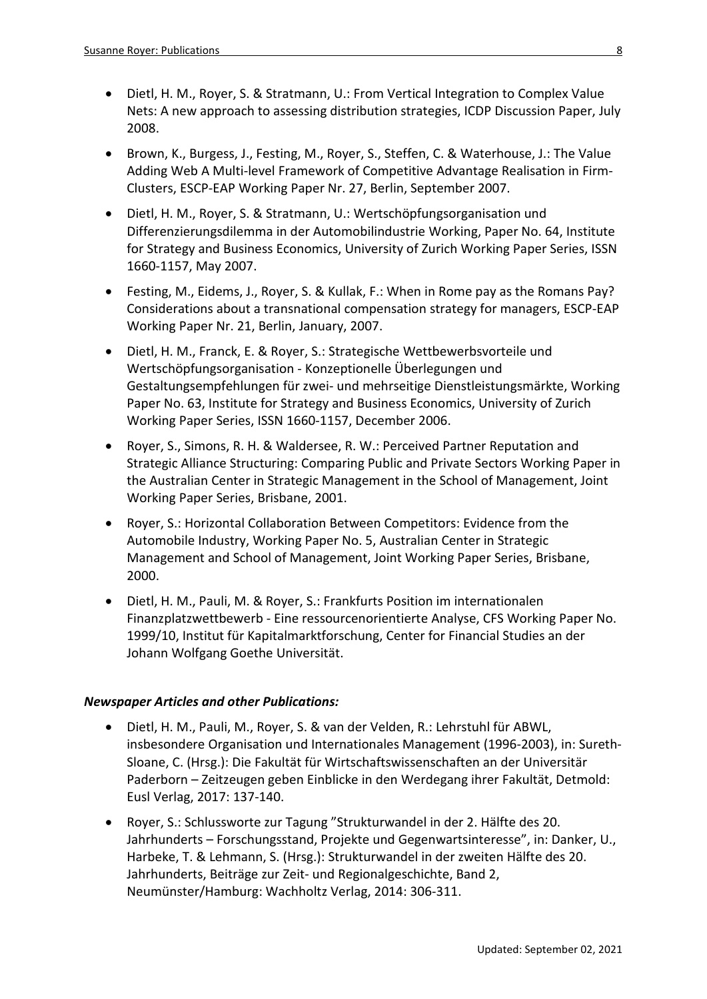- Dietl, H. M., Royer, S. & Stratmann, U.: From Vertical Integration to Complex Value Nets: A new approach to assessing distribution strategies, ICDP Discussion Paper, July 2008.
- Brown, K., Burgess, J., Festing, M., Royer, S., Steffen, C. & Waterhouse, J.: The Value Adding Web A Multi-level Framework of Competitive Advantage Realisation in Firm-Clusters, ESCP-EAP Working Paper Nr. 27, Berlin, September 2007.
- Dietl, H. M., Royer, S. & Stratmann, U.: Wertschöpfungsorganisation und Differenzierungsdilemma in der Automobilindustrie Working, Paper No. 64, Institute for Strategy and Business Economics, University of Zurich Working Paper Series, ISSN 1660-1157, May 2007.
- Festing, M., Eidems, J., Royer, S. & Kullak, F.: When in Rome pay as the Romans Pay? Considerations about a transnational compensation strategy for managers, ESCP-EAP Working Paper Nr. 21, Berlin, January, 2007.
- Dietl, H. M., Franck, E. & Royer, S.: Strategische Wettbewerbsvorteile und Wertschöpfungsorganisation - Konzeptionelle Überlegungen und Gestaltungsempfehlungen für zwei- und mehrseitige Dienstleistungsmärkte, Working Paper No. 63, Institute for Strategy and Business Economics, University of Zurich Working Paper Series, ISSN 1660-1157, December 2006.
- Royer, S., Simons, R. H. & Waldersee, R. W.: Perceived Partner Reputation and Strategic Alliance Structuring: Comparing Public and Private Sectors Working Paper in the Australian Center in Strategic Management in the School of Management, Joint Working Paper Series, Brisbane, 2001.
- Royer, S.: Horizontal Collaboration Between Competitors: Evidence from the Automobile Industry, Working Paper No. 5, Australian Center in Strategic Management and School of Management, Joint Working Paper Series, Brisbane, 2000.
- Dietl, H. M., Pauli, M. & Royer, S.: Frankfurts Position im internationalen Finanzplatzwettbewerb - Eine ressourcenorientierte Analyse, CFS Working Paper No. 1999/10, Institut für Kapitalmarktforschung, Center for Financial Studies an der Johann Wolfgang Goethe Universität.

## *Newspaper Articles and other Publications:*

- Dietl, H. M., Pauli, M., Royer, S. & van der Velden, R.: Lehrstuhl für ABWL, insbesondere Organisation und Internationales Management (1996-2003), in: Sureth-Sloane, C. (Hrsg.): Die Fakultät für Wirtschaftswissenschaften an der Universitär Paderborn – Zeitzeugen geben Einblicke in den Werdegang ihrer Fakultät, Detmold: Eusl Verlag, 2017: 137-140.
- Royer, S.: Schlussworte zur Tagung "Strukturwandel in der 2. Hälfte des 20. Jahrhunderts – Forschungsstand, Projekte und Gegenwartsinteresse", in: Danker, U., Harbeke, T. & Lehmann, S. (Hrsg.): Strukturwandel in der zweiten Hälfte des 20. Jahrhunderts, Beiträge zur Zeit- und Regionalgeschichte, Band 2, Neumünster/Hamburg: Wachholtz Verlag, 2014: 306-311.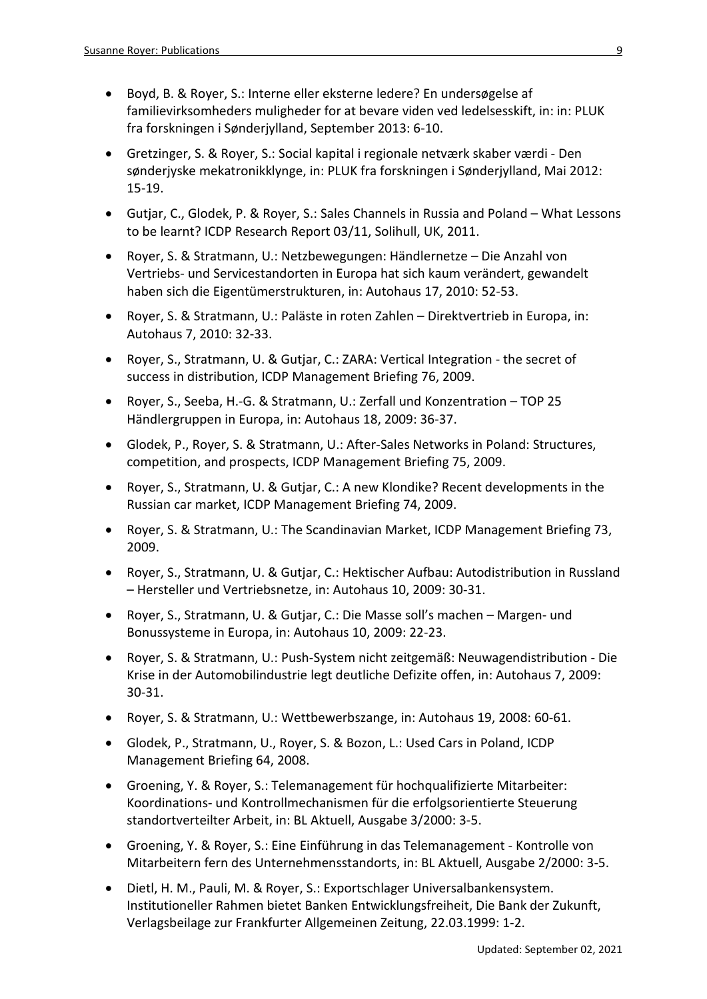- Boyd, B. & Royer, S.: Interne eller eksterne ledere? En undersøgelse af familievirksomheders muligheder for at bevare viden ved ledelsesskift, in: in: PLUK fra forskningen i Sønderjylland, September 2013: 6-10.
- Gretzinger, S. & Royer, S.: Social kapital i regionale netværk skaber værdi Den sønderjyske mekatronikklynge, in: PLUK fra forskningen i Sønderjylland, Mai 2012: 15-19.
- Gutjar, C., Glodek, P. & Royer, S.: Sales Channels in Russia and Poland What Lessons to be learnt? ICDP Research Report 03/11, Solihull, UK, 2011.
- Royer, S. & Stratmann, U.: Netzbewegungen: Händlernetze Die Anzahl von Vertriebs- und Servicestandorten in Europa hat sich kaum verändert, gewandelt haben sich die Eigentümerstrukturen, in: Autohaus 17, 2010: 52-53.
- Royer, S. & Stratmann, U.: Paläste in roten Zahlen Direktvertrieb in Europa, in: Autohaus 7, 2010: 32-33.
- Royer, S., Stratmann, U. & Gutjar, C.: ZARA: Vertical Integration the secret of success in distribution, ICDP Management Briefing 76, 2009.
- Royer, S., Seeba, H.-G. & Stratmann, U.: Zerfall und Konzentration TOP 25 Händlergruppen in Europa, in: Autohaus 18, 2009: 36-37.
- Glodek, P., Royer, S. & Stratmann, U.: After-Sales Networks in Poland: Structures, competition, and prospects, ICDP Management Briefing 75, 2009.
- Royer, S., Stratmann, U. & Gutjar, C.: A new Klondike? Recent developments in the Russian car market, ICDP Management Briefing 74, 2009.
- Royer, S. & Stratmann, U.: The Scandinavian Market, ICDP Management Briefing 73, 2009.
- Royer, S., Stratmann, U. & Gutjar, C.: Hektischer Aufbau: Autodistribution in Russland – Hersteller und Vertriebsnetze, in: Autohaus 10, 2009: 30-31.
- Royer, S., Stratmann, U. & Gutjar, C.: Die Masse soll's machen Margen- und Bonussysteme in Europa, in: Autohaus 10, 2009: 22-23.
- Royer, S. & Stratmann, U.: Push-System nicht zeitgemäß: Neuwagendistribution Die Krise in der Automobilindustrie legt deutliche Defizite offen, in: Autohaus 7, 2009: 30-31.
- Royer, S. & Stratmann, U.: Wettbewerbszange, in: Autohaus 19, 2008: 60-61.
- Glodek, P., Stratmann, U., Royer, S. & Bozon, L.: Used Cars in Poland, ICDP Management Briefing 64, 2008.
- Groening, Y. & Royer, S.: Telemanagement für hochqualifizierte Mitarbeiter: Koordinations- und Kontrollmechanismen für die erfolgsorientierte Steuerung standortverteilter Arbeit, in: BL Aktuell, Ausgabe 3/2000: 3-5.
- Groening, Y. & Royer, S.: Eine Einführung in das Telemanagement Kontrolle von Mitarbeitern fern des Unternehmensstandorts, in: BL Aktuell, Ausgabe 2/2000: 3-5.
- Dietl, H. M., Pauli, M. & Royer, S.: Exportschlager Universalbankensystem. Institutioneller Rahmen bietet Banken Entwicklungsfreiheit, Die Bank der Zukunft, Verlagsbeilage zur Frankfurter Allgemeinen Zeitung, 22.03.1999: 1-2.